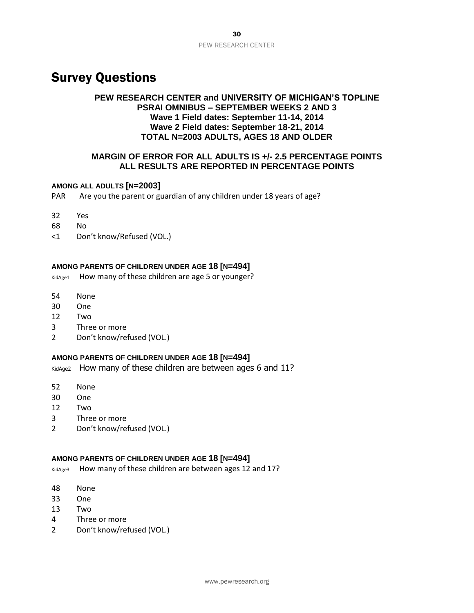# Survey Questions

# **PEW RESEARCH CENTER and UNIVERSITY OF MICHIGAN'S TOPLINE PSRAI OMNIBUS – SEPTEMBER WEEKS 2 AND 3 Wave 1 Field dates: September 11-14, 2014 Wave 2 Field dates: September 18-21, 2014 TOTAL N=2003 ADULTS, AGES 18 AND OLDER**

# **MARGIN OF ERROR FOR ALL ADULTS IS +/- 2.5 PERCENTAGE POINTS ALL RESULTS ARE REPORTED IN PERCENTAGE POINTS**

#### **AMONG ALL ADULTS [N=2003]**

PAR Are you the parent or guardian of any children under 18 years of age?

- 32 Yes
- 68 No
- <1 Don't know/Refused (VOL.)

# **AMONG PARENTS OF CHILDREN UNDER AGE 18 [N=494]**

KidAge1 How many of these children are age 5 or younger?

- 54 None
- 30 One
- 12 Two
- 3 Three or more
- 2 Don't know/refused (VOL.)

### **AMONG PARENTS OF CHILDREN UNDER AGE 18 [N=494]**

KidAge2 How many of these children are between ages 6 and 11?

- 52 None
- 30 One
- 12 Two
- 3 Three or more
- 2 Don't know/refused (VOL.)

#### **AMONG PARENTS OF CHILDREN UNDER AGE 18 [N=494]**

KidAge3 How many of these children are between ages 12 and 17?

- 48 None
- 33 One
- 13 Two
- 4 Three or more
- 2 Don't know/refused (VOL.)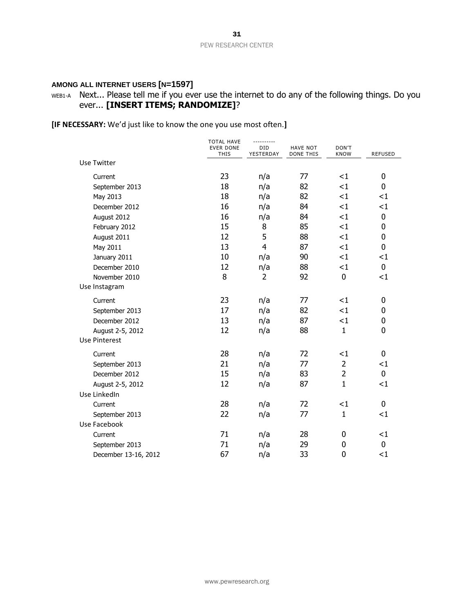# **AMONG ALL INTERNET USERS [N=1597]**

# WEB1-A Next... Please tell me if you ever use the internet to do any of the following things. Do you ever... **[INSERT ITEMS; RANDOMIZE]**?

**[IF NECESSARY:** We'd just like to know the one you use most often.**]**

|                      | <b>TOTAL HAVE</b>               |                  |                                     |                      |                |  |  |
|----------------------|---------------------------------|------------------|-------------------------------------|----------------------|----------------|--|--|
|                      | <b>EVER DONE</b><br><b>THIS</b> | DID<br>YESTERDAY | <b>HAVE NOT</b><br><b>DONE THIS</b> | DON'T<br><b>KNOW</b> | <b>REFUSED</b> |  |  |
| Use Twitter          |                                 |                  |                                     |                      |                |  |  |
| Current              | 23                              | n/a              | 77                                  | <1                   | $\mathbf 0$    |  |  |
| September 2013       | 18                              | n/a              | 82                                  | $\leq$ 1             | $\mathbf 0$    |  |  |
| May 2013             | 18                              | n/a              | 82                                  | <1                   | <1             |  |  |
| December 2012        | 16                              | n/a              | 84                                  | <1                   | $<$ 1          |  |  |
| August 2012          | 16                              | n/a              | 84                                  | <1                   | 0              |  |  |
| February 2012        | 15                              | 8                | 85                                  | <1                   | 0              |  |  |
| August 2011          | 12                              | 5                | 88                                  | <1                   | $\mathbf 0$    |  |  |
| May 2011             | 13                              | $\overline{4}$   | 87                                  | $<$ 1                | 0              |  |  |
| January 2011         | 10                              | n/a              | 90                                  | <1                   | $<$ 1          |  |  |
| December 2010        | 12                              | n/a              | 88                                  | $\leq$ 1             | 0              |  |  |
| November 2010        | 8                               | $\overline{2}$   | 92                                  | $\mathbf 0$          | <1             |  |  |
| Use Instagram        |                                 |                  |                                     |                      |                |  |  |
| Current              | 23                              | n/a              | 77                                  | $<$ 1                | 0              |  |  |
| September 2013       | 17                              | n/a              | 82                                  | <1                   | 0              |  |  |
| December 2012        | 13                              | n/a              | 87                                  | <1                   | 0              |  |  |
| August 2-5, 2012     | 12                              | n/a              | 88                                  | $\mathbf{1}$         | 0              |  |  |
| <b>Use Pinterest</b> |                                 |                  |                                     |                      |                |  |  |
| Current              | 28                              | n/a              | 72                                  | $<$ 1                | 0              |  |  |
| September 2013       | 21                              | n/a              | 77                                  | $\overline{2}$       | $<$ 1          |  |  |
| December 2012        | 15                              | n/a              | 83                                  | $\overline{2}$       | $\overline{0}$ |  |  |
| August 2-5, 2012     | 12                              | n/a              | 87                                  | $\mathbf{1}$         | <1             |  |  |
| Use LinkedIn         |                                 |                  |                                     |                      |                |  |  |
| Current              | 28                              | n/a              | 72                                  | <1                   | 0              |  |  |
| September 2013       | 22                              | n/a              | 77                                  | $\mathbf{1}$         | <1             |  |  |
| Use Facebook         |                                 |                  |                                     |                      |                |  |  |
| Current              | 71                              | n/a              | 28                                  | 0                    | $<$ 1          |  |  |
| September 2013       | 71                              | n/a              | 29                                  | 0                    | 0              |  |  |
| December 13-16, 2012 | 67                              | n/a              | 33                                  | $\overline{0}$       | <1             |  |  |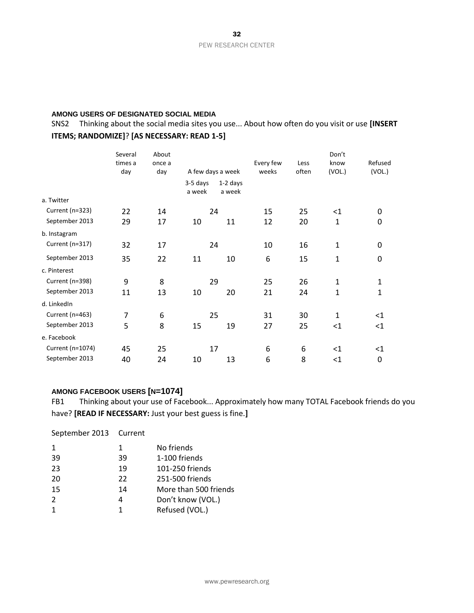#### **AMONG USERS OF DESIGNATED SOCIAL MEDIA**

SNS2 Thinking about the social media sites you use... About how often do you visit or use **[INSERT ITEMS; RANDOMIZE]**? **[AS NECESSARY: READ 1-5]**

|                  | Several<br>times a<br>day | About<br>once a<br>day |                    | A few days a week    | Every few<br>weeks | Less<br>often | Don't<br>know<br>(VOL.) | Refused<br>(VOL.) |
|------------------|---------------------------|------------------------|--------------------|----------------------|--------------------|---------------|-------------------------|-------------------|
|                  |                           |                        | 3-5 days<br>a week | $1-2$ days<br>a week |                    |               |                         |                   |
| a. Twitter       |                           |                        |                    |                      |                    |               |                         |                   |
| Current (n=323)  | 22                        | 14                     |                    | 24                   | 15                 | 25            | $<$ 1                   | 0                 |
| September 2013   | 29                        | 17                     | 10                 | 11                   | 12                 | 20            | $\mathbf{1}$            | 0                 |
| b. Instagram     |                           |                        |                    |                      |                    |               |                         |                   |
| Current (n=317)  | 32                        | 17                     |                    | 24                   | 10                 | 16            | $\mathbf{1}$            | 0                 |
| September 2013   | 35                        | 22                     | 11                 | 10                   | 6                  | 15            | $\mathbf{1}$            | 0                 |
| c. Pinterest     |                           |                        |                    |                      |                    |               |                         |                   |
| Current (n=398)  | 9                         | 8                      |                    | 29                   | 25                 | 26            | $\mathbf{1}$            | $\mathbf{1}$      |
| September 2013   | 11                        | 13                     | 10                 | 20                   | 21                 | 24            | $\mathbf{1}$            | $\mathbf{1}$      |
| d. LinkedIn      |                           |                        |                    |                      |                    |               |                         |                   |
| Current (n=463)  | 7                         | 6                      |                    | 25                   | 31                 | 30            | $\mathbf{1}$            | <1                |
| September 2013   | 5                         | 8                      | 15                 | 19                   | 27                 | 25            | <1                      | $<1\,$            |
| e. Facebook      |                           |                        |                    |                      |                    |               |                         |                   |
| Current (n=1074) | 45                        | 25                     |                    | 17                   | 6                  | 6             | $<$ 1                   | $\leq$ 1          |
| September 2013   | 40                        | 24                     | 10                 | 13                   | 6                  | 8             | <1                      | 0                 |

### **AMONG FACEBOOK USERS [N=1074]**

FB1 Thinking about your use of Facebook... Approximately how many TOTAL Facebook friends do you have? **[READ IF NECESSARY:** Just your best guess is fine.**]**

September 2013 Current 1 No friends 39 1-100 friends 19 101-250 friends 22 251-500 friends 14 More than 500 friends 2 4 Don't know (VOL.) 1 Refused (VOL.)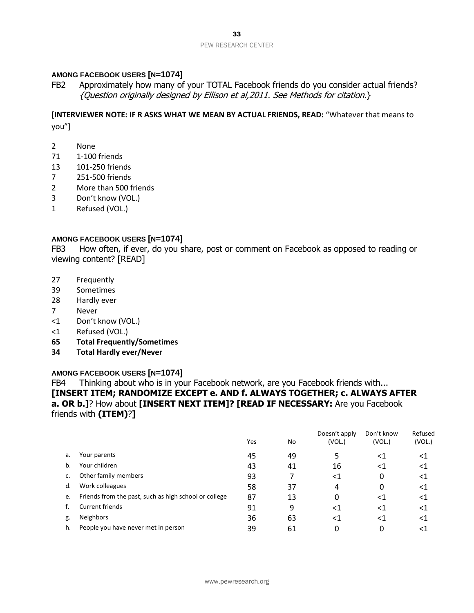# **AMONG FACEBOOK USERS [N=1074]**

FB2 Approximately how many of your TOTAL Facebook friends do you consider actual friends? {Question originally designed by Ellison et al,2011. See Methods for citation.}

**[INTERVIEWER NOTE: IF R ASKS WHAT WE MEAN BY ACTUAL FRIENDS, READ:** "Whatever that means to you"]

- 2 None
- 71 1-100 friends
- 13 101-250 friends
- 7 251-500 friends
- 2 More than 500 friends
- 3 Don't know (VOL.)
- 1 Refused (VOL.)

### **AMONG FACEBOOK USERS [N=1074]**

FB3 How often, if ever, do you share, post or comment on Facebook as opposed to reading or viewing content? [READ]

- 27 Frequently
- 39 Sometimes
- 28 Hardly ever
- 7 Never
- <1 Don't know (VOL.)
- <1 Refused (VOL.)
- **65 Total Frequently/Sometimes**
- **34 Total Hardly ever/Never**

### **AMONG FACEBOOK USERS [N=1074]**

FB4 Thinking about who is in your Facebook network, are you Facebook friends with... **[INSERT ITEM; RANDOMIZE EXCEPT e. AND f. ALWAYS TOGETHER; c. ALWAYS AFTER a. OR b.]**? How about **[INSERT NEXT ITEM]? [READ IF NECESSARY:** Are you Facebook friends with **(ITEM)**?**]**

|                                                       | Yes | No | (VOL.) | Don't know<br>(VOL.) | Refused<br>(VOL.) |
|-------------------------------------------------------|-----|----|--------|----------------------|-------------------|
| Your parents                                          | 45  | 49 |        | ${<}1$               | $\leq$ 1          |
| Your children                                         | 43  | 41 | 16     | <1                   | ${<}1$            |
| Other family members                                  | 93  |    | <1     | 0                    | <1                |
| Work colleagues                                       | 58  | 37 | 4      | 0                    | ${<}1$            |
| Friends from the past, such as high school or college | 87  | 13 | 0      | <1                   | ${<}1$            |
| Current friends                                       | 91  | 9  | <1     | $<$ 1                | ${<}1$            |
| <b>Neighbors</b>                                      | 36  | 63 | <1     | ${<}1$               | ${<}1$            |
| People you have never met in person                   | 39  | 61 |        | 0                    | <1                |
|                                                       |     |    |        | Doesn't apply        |                   |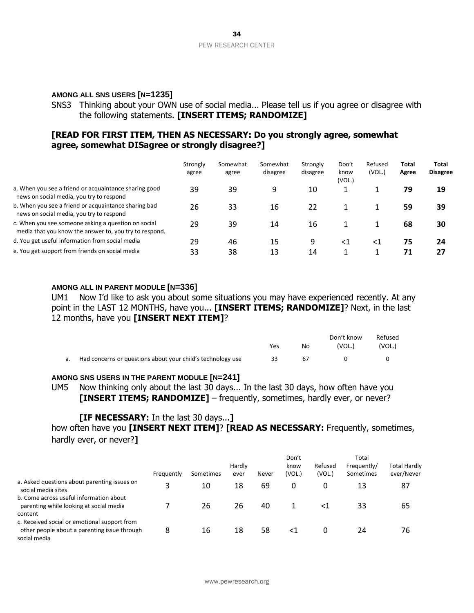#### **AMONG ALL SNS USERS [N=1235]**

SNS3 Thinking about your OWN use of social media... Please tell us if you agree or disagree with the following statements. **[INSERT ITEMS; RANDOMIZE]**

# **[READ FOR FIRST ITEM, THEN AS NECESSARY: Do you strongly agree, somewhat agree, somewhat DISagree or strongly disagree?]**

|                                                                                                               | Strongly<br>agree | Somewhat<br>agree | Somewhat<br>disagree | Strongly<br>disagree | Don't<br>know<br>(VOL.) | Refused<br>(VOL.) | Total<br>Agree | Total<br><b>Disagree</b> |
|---------------------------------------------------------------------------------------------------------------|-------------------|-------------------|----------------------|----------------------|-------------------------|-------------------|----------------|--------------------------|
| a. When you see a friend or acquaintance sharing good<br>news on social media, you try to respond             | 39                | 39                | 9                    | 10                   |                         |                   | 79             | 19                       |
| b. When you see a friend or acquaintance sharing bad<br>news on social media, you try to respond              | 26                | 33                | 16                   | 22                   |                         |                   | 59             | 39                       |
| c. When you see someone asking a question on social<br>media that you know the answer to, you try to respond. | 29                | 39                | 14                   | 16                   |                         |                   | 68             | 30                       |
| d. You get useful information from social media                                                               | 29                | 46                | 15                   | 9                    | <1                      | <1                | 75             | 24                       |
| e. You get support from friends on social media                                                               | 33                | 38                | 13                   | 14                   |                         |                   | 71             | 27                       |

#### **AMONG ALL IN PARENT MODULE [N=336]**

UM1 Now I'd like to ask you about some situations you may have experienced recently. At any point in the LAST 12 MONTHS, have you... **[INSERT ITEMS; RANDOMIZE]**? Next, in the last 12 months, have you **[INSERT NEXT ITEM]**?

|    |                                                             | Yes | No. | Don't know<br>(VOL.) | Refused<br>(VOL.) |
|----|-------------------------------------------------------------|-----|-----|----------------------|-------------------|
| а. | Had concerns or questions about your child's technology use | 33  | 67  |                      |                   |

#### **AMONG SNS USERS IN THE PARENT MODULE [N=241]**

UM5 Now thinking only about the last 30 days... In the last 30 days, how often have you **[INSERT ITEMS; RANDOMIZE]** – frequently, sometimes, hardly ever, or never?

### **[IF NECESSARY:** In the last 30 days...**]**

how often have you **[INSERT NEXT ITEM]**? **[READ AS NECESSARY:** Frequently, sometimes, hardly ever, or never?**]**

|                                                                                                              |            |           |                |       | Don't          |                   | Total                    |                                   |
|--------------------------------------------------------------------------------------------------------------|------------|-----------|----------------|-------|----------------|-------------------|--------------------------|-----------------------------------|
|                                                                                                              | Frequently | Sometimes | Hardly<br>ever | Never | know<br>(VOL.) | Refused<br>(VOL.) | Frequently/<br>Sometimes | <b>Total Hardly</b><br>ever/Never |
| a. Asked questions about parenting issues on                                                                 |            |           |                |       |                |                   |                          |                                   |
| social media sites                                                                                           | 3          | 10        | 18             | 69    | 0              | 0                 | 13                       | 87                                |
| b. Come across useful information about<br>parenting while looking at social media<br>content                |            | 26        | 26             | 40    |                | ≺1                | 33                       | 65                                |
| c. Received social or emotional support from<br>other people about a parenting issue through<br>social media | 8          | 16        | 18             | 58    | <1             |                   | 24                       | 76                                |